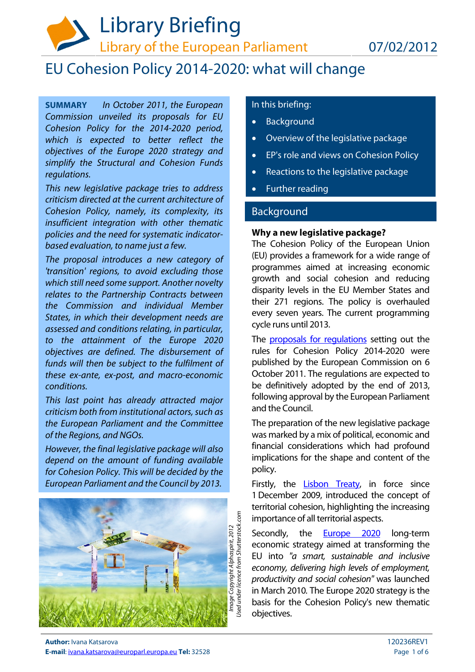

# EU Cohesion Policy 2014-2020: what will change

**SUMMARY** In October 2011, the European Commission unveiled its proposals for EU Cohesion Policy for the 2014-2020 period, which is expected to better reflect the objectives of the Europe 2020 strategy and simplify the Structural and Cohesion Funds regulations.

This new legislative package tries to address criticism directed at the current architecture of Cohesion Policy, namely, its complexity, its insufficient integration with other thematic policies and the need for systematic indicatorbased evaluation, to name just a few.

The proposal introduces a new category of 'transition' regions, to avoid excluding those which still need some support. Another novelty relates to the Partnership Contracts between the Commission and individual Member States, in which their development needs are assessed and conditions relating, in particular, to the attainment of the Europe 2020 objectives are defined. The disbursement of funds will then be subject to the fulfilment of these ex-ante, ex-post, and macro-economic conditions.

This last point has already attracted major criticism both from institutional actors, such as the European Parliament and the Committee of the Regions, and NGOs.

However, the final legislative package will also depend on the amount of funding available for Cohesion Policy. This will be decided by the European Parliament and the Council by 2013.



# In this briefing:

- Background
- Overview of the legislative package
- EP's role and views on Cohesion Policy
- Reactions to the legislative package
- Further reading

# Background

#### **Why a new legislative package?**

The Cohesion Policy of the European Union (EU) provides a framework for a wide range of programmes aimed at increasing economic growth and social cohesion and reducing disparity levels in the EU Member States and their 271 regions. The policy is overhauled every seven years. The current programming cycle runs until 2013.

The **proposals for regulations** setting out the rules for Cohesion Policy 2014-2020 were published by the European Commission on 6 October 2011. The regulations are expected to be definitively adopted by the end of 2013, following approval by the European Parliament and the Council.

The preparation of the new legislative package was marked by a mix of political, economic and financial considerations which had profound implications for the shape and content of the policy.

Firstly, the **Lisbon Treaty**, in force since 1 December 2009, introduced the concept of territorial cohesion, highlighting the increasing importance of all territorial aspects.

Secondly, the [Europe 2020](http://ec.europa.eu/europe2020/index_en.htm) long-term economic strategy aimed at transforming the EU into "a smart, sustainable and inclusive economy, delivering high levels of employment, productivity and social cohesion" was launched in March 2010. The Europe 2020 strategy is the basis for the Cohesion Policy's new thematic objectives.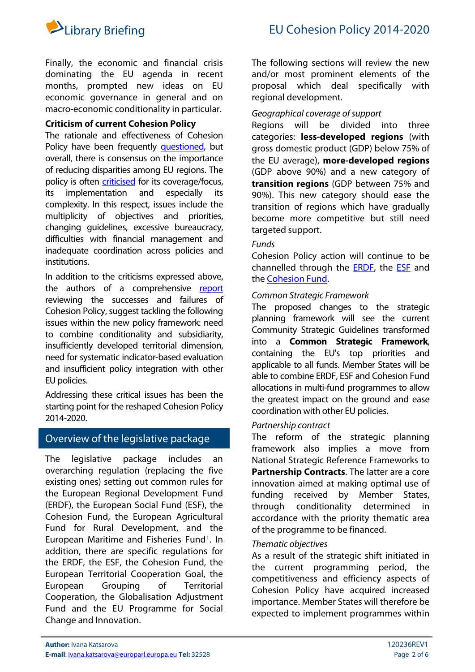

Finally, the economic and financial crisis dominating the EU agenda in recent months, prompted new ideas on EU economic governance in general and on macro-economic conditionality in particular.

# **Criticism of current Cohesion Policy**

The rationale and effectiveness of Cohesion Policy have been frequently [questioned,](http://ec.europa.eu/regional_policy/archive/policy/future/pdf/8_manzella_final-formatted.pdf) but overall, there is consensus on the importance of reducing disparities among EU regions. The policy is often [criticised](http://www.aer.eu/fileadmin/user_upload/MainIssues/CohesionRegionalPolicy/AER-Study-FutureRegPolicy-2014-FIN.pdf) for its coverage/focus, its implementation and especially its complexity. In this respect, issues include the multiplicity of objectives and priorities, changing guidelines, excessive bureaucracy, difficulties with financial management and inadequate coordination across policies and institutions.

In addition to the criticisms expressed above, the authors of a comprehensive [report](http://www.eurada.org/site/files/Regional%20development/Barca_report.pdf) reviewing the successes and failures of Cohesion Policy, suggest tackling the following issues within the new policy framework: need to combine conditionality and subsidiarity, insufficiently developed territorial dimension, need for systematic indicator-based evaluation and insufficient policy integration with other EU policies.

Addressing these critical issues has been the starting point for the reshaped Cohesion Policy 2014-2020.

# Overview of the legislative package

The legislative package includes an overarching regulation (replacing the five existing ones) setting out common rules for the European Regional Development Fund (ERDF), the European Social Fund (ESF), the Cohesion Fund, the European Agricultural Fund for Rural Development, and the European Maritime and Fisheries Fund<sup>[1](#page-5-0)</sup>. In addition, there are specific regulations for the ERDF, the ESF, the Cohesion Fund, the European Territorial Cooperation Goal, the European Grouping of Territorial Cooperation, the Globalisation Adjustment Fund and the EU Programme for Social Change and Innovation.

The following sections will review the new and/or most prominent elements of the proposal which deal specifically with regional development.

## Geographical coverage of support

Regions will be divided into three categories: **less-developed regions** (with gross domestic product (GDP) below 75% of the EU average), **more-developed regions** (GDP above 90%) and a new category of **transition regions** (GDP between 75% and 90%). This new category should ease the transition of regions which have gradually become more competitive but still need targeted support.

## Funds

Cohesion Policy action will continue to be channelled through the [ERDF,](http://ec.europa.eu/regional_policy/sources/docoffic/official/regulation/pdf/2014/proposals/regulation/erdf/erdf_proposal_en.pdf) the [ESF](http://ec.europa.eu/regional_policy/sources/docoffic/official/regulation/pdf/2014/proposals/regulation/esf/esf_proposal_en.pdf) and the [Cohesion Fund](http://ec.europa.eu/regional_policy/sources/docoffic/official/regulation/pdf/2014/proposals/regulation/cohesion/cohesion_proposal_en.pdf).

# Common Strategic Framework

The proposed changes to the strategic planning framework will see the current Community Strategic Guidelines transformed into a **Common Strategic Framework**, containing the EU's top priorities and applicable to all funds. Member States will be able to combine ERDF, ESF and Cohesion Fund allocations in multi-fund programmes to allow the greatest impact on the ground and ease coordination with other EU policies.

# Partnership contract

The reform of the strategic planning framework also implies a move from National Strategic Reference Frameworks to **Partnership Contracts**. The latter are a core innovation aimed at making optimal use of funding received by Member States, through conditionality determined in accordance with the priority thematic area of the programme to be financed.

## Thematic objectives

As a result of the strategic shift initiated in the current programming period, the competitiveness and efficiency aspects of Cohesion Policy have acquired increased importance. Member States will therefore be expected to implement programmes within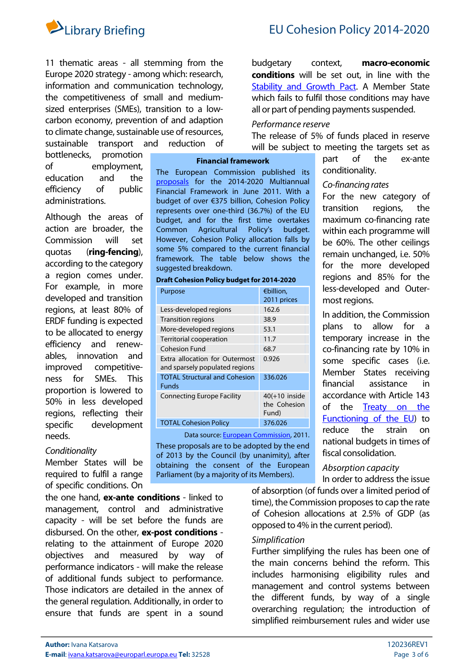

11 thematic areas - all stemming from the Europe 2020 strategy - among which: research, information and communication technology, the competitiveness of small and mediumsized enterprises (SMEs), transition to a lowcarbon economy, prevention of and adaption to climate change, sustainable use of resources, sustainable transport and reduction of

bottlenecks, promotion of employment, education and the efficiency of public administrations.

Although the areas of action are broader, the Commission will set quotas (**ring-fencing**), according to the category a region comes under. For example, in more developed and transition regions, at least 80% of ERDF funding is expected to be allocated to energy efficiency and renewables, innovation and improved competitiveness for SMEs. This proportion is lowered to 50% in less developed regions, reflecting their specific development needs.

#### **Conditionality**

Member States will be required to fulfil a range of specific conditions. On

the one hand, **ex-ante conditions** - linked to management, control and administrative capacity - will be set before the funds are disbursed. On the other, **ex-post conditions** relating to the attainment of Europe 2020 objectives and measured by way of performance indicators - will make the release of additional funds subject to performance. Those indicators are detailed in the annex of the general regulation. Additionally, in order to ensure that funds are spent in a sound budgetary context, **macro-economic conditions** will be set out, in line with the [Stability and Growth Pact](http://ec.europa.eu/economy_finance/economic_governance/sgp/index_en.htm). A Member State which fails to fulfil those conditions may have all or part of pending payments suspended.

## Performance reserve

The release of 5% of funds placed in reserve will be subject to meeting the targets set as

conditionality.

most regions.

Co-financing rates

part of the ex-ante

For the new category of transition regions, the maximum co-financing rate within each programme will be 60%. The other ceilings remain unchanged, i.e. 50% for the more developed regions and 85% for the less-developed and Outer-

In addition, the Commission plans to allow for a temporary increase in the co-financing rate by 10% in some specific cases (i.e. Member States receiving financial assistance in accordance with Article 143 of the [Treaty on the](http://eur-lex.europa.eu/LexUriServ/LexUriServ.do?uri=OJ:C:2010:083:0047:0200:EN:PDF)  [Functioning of the EU](http://eur-lex.europa.eu/LexUriServ/LexUriServ.do?uri=OJ:C:2010:083:0047:0200:EN:PDF)) to reduce the strain on national budgets in times of

#### **Financial framework**

The European Commission published its [proposals](http://ec.europa.eu/budget/biblio/documents/fin_fwk1420/fin_fwk1420_en.cfm) for the 2014-2020 Multiannual Financial Framework in June 2011. With a budget of over €375 billion, Cohesion Policy represents over one-third (36.7%) of the EU budget, and for the first time overtakes Common Agricultural Policy's budget. However, Cohesion Policy allocation falls by some 5% compared to the current financial framework. The table below shows the suggested breakdown.

|  | Draft Cohesion Policy budget for 2014-2020 |
|--|--------------------------------------------|
|--|--------------------------------------------|

| Purpose                              | €billion.        |
|--------------------------------------|------------------|
|                                      | 2011 prices      |
| Less-developed regions               | 162.6            |
| <b>Transition regions</b>            | 38.9             |
| More-developed regions               | 53.1             |
| Territorial cooperation              | 11.7             |
| Cohesion Fund                        | 68.7             |
| Extra allocation for Outermost       | 0.926            |
| and sparsely populated regions       |                  |
| <b>TOTAL Structural and Cohesion</b> | 336.026          |
| <b>Funds</b>                         |                  |
| <b>Connecting Europe Facility</b>    | $40(+10)$ inside |
|                                      | the Cohesion     |
|                                      | Fund)            |
| <b>TOTAL Cohesion Policy</b>         | 376.026          |

Data source: [European Commission](http://ec.europa.eu/regional_policy/sources/docoffic/official/regulation/pdf/2014/proposals/regulation/general/general_proposal_en.pdf), 2011.

These proposals are to be adopted by the end of 2013 by the Council (by unanimity), after obtaining the consent of the European Parliament (by a majority of its Members).

In order to address the issue of absorption (of funds over a limited period of time), the Commission proposes to cap the rate of Cohesion allocations at 2.5% of GDP (as opposed to 4% in the current period).

fiscal consolidation. Absorption capacity

## Simplification

Further simplifying the rules has been one of the main concerns behind the reform. This includes harmonising eligibility rules and management and control systems between the different funds, by way of a single overarching regulation; the introduction of simplified reimbursement rules and wider use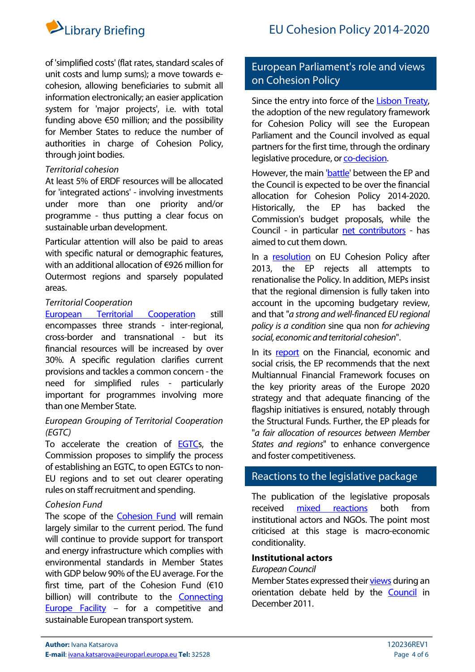

of 'simplified costs' (flat rates, standard scales of unit costs and lump sums); a move towards ecohesion, allowing beneficiaries to submit all information electronically; an easier application system for 'major projects', i.e. with total funding above  $\epsilon$ 50 million; and the possibility for Member States to reduce the number of authorities in charge of Cohesion Policy, through joint bodies.

# Territorial cohesion

At least 5% of ERDF resources will be allocated for 'integrated actions' - involving investments under more than one priority and/or programme - thus putting a clear focus on sustainable urban development.

Particular attention will also be paid to areas with specific natural or demographic features, with an additional allocation of €926 million for Outermost regions and sparsely populated areas.

# Territorial Cooperation

[European Territorial Cooperation](http://ec.europa.eu/regional_policy/sources/docoffic/official/regulation/pdf/2014/proposals/regulation/etc/etc_proposal_en.pdf) still encompasses three strands - inter-regional, cross-border and transnational - but its financial resources will be increased by over 30%. A specific regulation clarifies current provisions and tackles a common concern - the need for simplified rules - particularly important for programmes involving more than one Member State.

# European Grouping of Territorial Cooperation (EGTC)

To accelerate the creation of [EGTCs](http://ec.europa.eu/regional_policy/sources/docoffic/official/regulation/pdf/2014/proposals/regulation/egtc/egtc_proposal_en.pdf), the Commission proposes to simplify the process of establishing an EGTC, to open EGTCs to non-EU regions and to set out clearer operating rules on staff recruitment and spending.

## Cohesion Fund

The scope of the [Cohesion Fund](http://ec.europa.eu/regional_policy/sources/docoffic/official/regulation/pdf/2014/proposals/regulation/cohesion/cohesion_proposal_en.pdf) will remain largely similar to the current period. The fund will continue to provide support for transport and energy infrastructure which complies with environmental standards in Member States with GDP below 90% of the EU average. For the first time, part of the Cohesion Fund  $(610$ billion) will contribute to the [Connecting](http://ec.europa.eu/commission_2010-2014/president/news/speeches-statements/2011/10/20111019_speeches_1_en.htm)  [Europe Facility](http://ec.europa.eu/commission_2010-2014/president/news/speeches-statements/2011/10/20111019_speeches_1_en.htm) - for a competitive and sustainable European transport system.

# European Parliament's role and views on Cohesion Policy

Since the entry into force of the [Lisbon Treaty](http://www.consilium.europa.eu/treaty-of-lisbon.aspx?lang=en), the adoption of the new regulatory framework for Cohesion Policy will see the European Parliament and the Council involved as equal partners for the first time, through the ordinary legislative procedure, or [co-decision.](http://ec.europa.eu/codecision/procedure/index_en.htm)

However, the main ['battle](http://www.europarl.europa.eu/en/headlines/content/20110429FCS18370/html/The-battle-for-the-EU)' between the EP and the Council is expected to be over the financial allocation for Cohesion Policy 2014-2020. Historically, the EP has backed the Commission's budget proposals, while the Council - in particular [net contributors](http://www.fco.gov.uk/en/news/latest-news/?view=PressS&id=654555082) - has aimed to cut them down.

In a [resolution](http://www.europarl.europa.eu/sides/getDoc.do?type=TA&language=EN&reference=P7-TA-2010-0356) on EU Cohesion Policy after 2013, the EP rejects all attempts to renationalise the Policy. In addition, MEPs insist that the regional dimension is fully taken into account in the upcoming budgetary review, and that "a strong and well-financed EU regional policy is a condition sine qua non for achieving social, economic and territorial cohesion".

In its [report](http://www.europarl.europa.eu/sides/getDoc.do?type=TA&language=EN&reference=P7-TA-2011-0331) on the Financial, economic and social crisis, the EP recommends that the next Multiannual Financial Framework focuses on the key priority areas of the Europe 2020 strategy and that adequate financing of the flagship initiatives is ensured, notably through the Structural Funds. Further, the EP pleads for "a fair allocation of resources between Member States and regions" to enhance convergence and foster competitiveness.

# Reactions to the legislative package

The publication of the legislative proposals received [mixed reactions](http://www.eprc.strath.ac.uk/eprc/documents/PDF_files/EPRP_81_Budget_and_Cohesion_Policy_for_Europe_2020.pdf) both from institutional actors and NGOs. The point most criticised at this stage is macro-economic conditionality.

# **Institutional actors**

## European Council

Member States expressed their [views](http://www.library.sso.ep.parl.union.eu/lis/site/newsContent.form?src=3&agId=14&id=33349&fileName=aeen1217.htm#tag5) during an orientation debate held by the [Council](http://www.consilium.europa.eu/ueDocs/cms_Data/docs/pressData/EN/genaff/127027.pdf) in December 2011.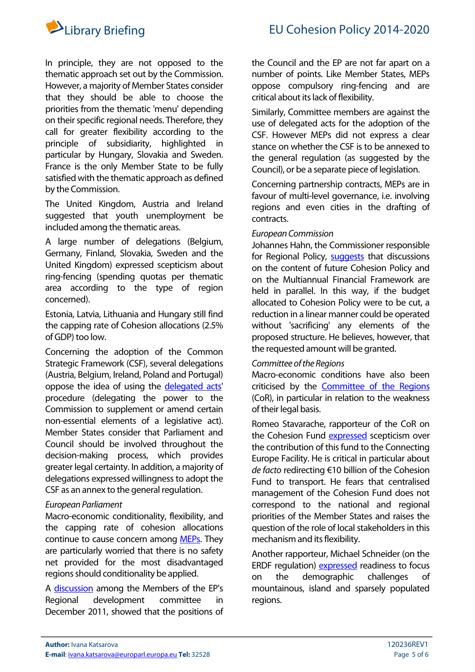



In principle, they are not opposed to the thematic approach set out by the Commission. However, a majority of Member States consider that they should be able to choose the priorities from the thematic 'menu' depending on their specific regional needs. Therefore, they call for greater flexibility according to the principle of subsidiarity, highlighted in particular by Hungary, Slovakia and Sweden. France is the only Member State to be fully satisfied with the thematic approach as defined by the Commission.

The United Kingdom, Austria and Ireland suggested that youth unemployment be included among the thematic areas.

A large number of delegations (Belgium, Germany, Finland, Slovakia, Sweden and the United Kingdom) expressed scepticism about ring-fencing (spending quotas per thematic area according to the type of region concerned).

Estonia, Latvia, Lithuania and Hungary still find the capping rate of Cohesion allocations (2.5% of GDP) too low.

Concerning the adoption of the Common Strategic Framework (CSF), several delegations (Austria, Belgium, Ireland, Poland and Portugal) oppose the idea of using the [delegated acts](http://www.eipa.eu/files/repository/product/20111212085434_Comitology_Brochure4EN_web.pdf)' procedure (delegating the power to the Commission to supplement or amend certain non-essential elements of a legislative act). Member States consider that Parliament and Council should be involved throughout the decision-making process, which provides greater legal certainty. In addition, a majority of delegations expressed willingness to adopt the CSF as an annex to the general regulation.

## European Parliament

Macro-economic conditionality, flexibility, and the capping rate of cohesion allocations continue to cause concern among [MEPs.](http://www.europarl.europa.eu/sides/getDoc.do?pubRef=-//EP//TEXT+CRE+20111115+ITEM-006+DOC+XML+V0//EN&language=EN) They are particularly worried that there is no safety net provided for the most disadvantaged regions should conditionality be applied.

A [discussion](http://www.library.sso.ep.parl.union.eu/lis/site/newsContent.form?src=3&agId=14&id=33375&fileName=aeen1222.htm#tag12) among the Members of the EP's Regional development committee in December 2011, showed that the positions of the Council and the EP are not far apart on a number of points. Like Member States, MEPs oppose compulsory ring-fencing and are critical about its lack of flexibility.

Similarly, Committee members are against the use of delegated acts for the adoption of the CSF. However MEPs did not express a clear stance on whether the CSF is to be annexed to the general regulation (as suggested by the Council), or be a separate piece of legislation.

Concerning partnership contracts, MEPs are in favour of multi-level governance, i.e. involving regions and even cities in the drafting of contracts.

# European Commission

Johannes Hahn, the Commissioner responsible for Regional Policy, [suggests](http://www.library.sso.ep.parl.union.eu/lis/site/newsContent.form?src=3&agId=14&id=33902&fileName=aeen0127.htm#tag29) that discussions on the content of future Cohesion Policy and on the Multiannual Financial Framework are held in parallel. In this way, if the budget allocated to Cohesion Policy were to be cut, a reduction in a linear manner could be operated without 'sacrificing' any elements of the proposed structure. He believes, however, that the requested amount will be granted.

## Committee of the Regions

Macro-economic conditions have also been criticised by the [Committee of the Regions](http://www.library.sso.ep.parl.union.eu/lis/site/newsContent.form?src=3&agId=14&id=33175&fileName=aeen1116.htm#tag23) (CoR), in particular in relation to the weakness of their legal basis.

Romeo Stavarache, rapporteur of the CoR on the Cohesion Fund [expressed](http://www.library.sso.ep.parl.union.eu/lis/site/newsContent.form?src=3&agId=14&id=33882&fileName=aeen0124.htm#tag13) scepticism over the contribution of this fund to the Connecting Europe Facility. He is critical in particular about de facto redirecting €10 billion of the Cohesion Fund to transport. He fears that centralised management of the Cohesion Fund does not correspond to the national and regional priorities of the Member States and raises the question of the role of local stakeholders in this mechanism and its flexibility.

Another rapporteur, Michael Schneider (on the ERDF regulation) [expressed](http://www.library.sso.ep.parl.union.eu/lis/site/newsContent.form?src=3&agId=14&id=33866&fileName=aeen0120.htm#tag20) readiness to focus on the demographic challenges of mountainous, island and sparsely populated regions.